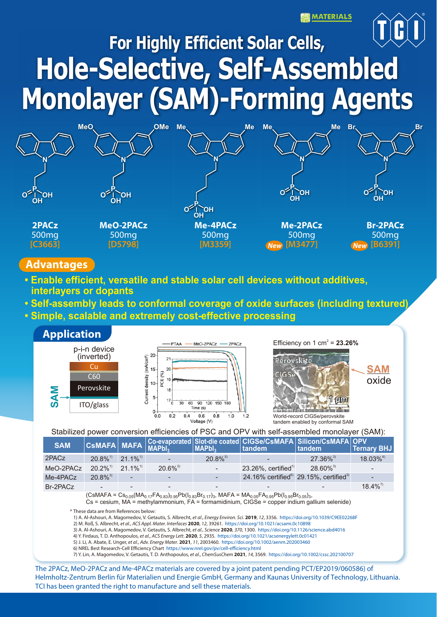**MATERIALS** 



# **For Highly Efficient Solar Cells, Hole-Selective, Self-Assembled Monolayer (SAM)-Forming Agents**



### **Advantages**

- **Enable efficient, versatile and stable solar cell devices without additives, interlayers or dopants**
- **Self-assembly leads to conformal coverage of oxide surfaces (including textured)**
- **Simple, scalable and extremely cost-effective processing**



Stabilized power conversion efficiencies of PSC and OPV with self-assembled monolayer (SAM):

| <b>SAM</b> |                        |                        |                          |                        |                                     | CSMAFA MAFA Co-evaporated Slot-die coated CIGSe/CSMAFA Silicon/CSMAFA OPV | Ternary BHJ             |
|------------|------------------------|------------------------|--------------------------|------------------------|-------------------------------------|---------------------------------------------------------------------------|-------------------------|
| 2PACz      | $20.8\%$ <sup>1)</sup> | $21.1\%$ <sup>1)</sup> | $\overline{\phantom{a}}$ | $20.8\%$ <sup>5)</sup> |                                     | $27.36\%^{3}$                                                             | $18.03\%$ <sup>4)</sup> |
| MeO-2PACz  | $20.2\%$ <sup>1)</sup> | $21.1\%$ <sup>1)</sup> | $20.6\%^{2}$             | . —                    | $23.26\%$ , certified <sup>1)</sup> | $28.60\%$ <sup>3)</sup>                                                   |                         |
| Me-4PACz   | $20.8\%^{3}$           | -                      | $\overline{\phantom{0}}$ |                        |                                     | 24.16% certified <sup>6)</sup> 29.15%, certified <sup>3)</sup>            |                         |
| Br-2PACz   |                        |                        | $\overline{\phantom{0}}$ |                        |                                     |                                                                           | $18.4\%^{7}$            |

 $(CsMAFA = Cs<sub>0.05</sub>(MA<sub>0.17</sub>FA<sub>0.83</sub>)<sub>0.95</sub>Pb(l<sub>0.83</sub>Br<sub>0.17</sub>)<sub>3</sub>$ , MAFA = MA<sub>0.05</sub>FA<sub>0.95</sub>Pb(l<sub>0.95</sub>Br<sub>0.05</sub>)<sub>3</sub>,

Cs = cesium, MA = methylammonium, FA = formamidinium, CIGSe = copper indium gallium selenide)

\* These data are from References below:

 1) A. Al-Ashouri, A. Magomedov, V. Getautis, S. Albrecht, *et al*., *Energy Environ. Sci.* **2019**, *12*, 3356. https://doi.org/10.1039/C9EE02268F 2) M. Roß, S. Albrecht, *et al.*, *ACS Appl. Mater. Interfaces* **2020**, *12*, 39261. https://doi.org/10.1021/acsami.0c10898

3) A. Al-Ashouri, A. Magomedov, V. Getautis, S. Albrecht, *et al.*, *Science* **2020**, *370*, 1300. https://doi.org/10.1126/science.abd4016

4) Y. Firdaus, T. D. Anthopoulos, *et al*., *ACS Energy Lett*. **2020**, *5*, 2935. https://doi.org/10.1021/acsenergylett.0c01421

5) J. Li, A. Abate, E. Unger, *et al*., *Adv. Energy Mater*. **2021**, *11*, 2003460. https://doi.org/10.1002/aenm.202003460

6) NREL Best Research-Cell Efficiency Chart https://www.nrel.gov/pv/cell-efficiency.html

7) Y. Lin, A. Magomedov, V. Getautis, T. D. Anthopoulos, *et al.*, *ChemSusChem* **2021**, *14*, 3569. https://doi.org/10.1002/cssc.202100707

The 2PACz, MeO-2PACz and Me-4PACz materials are covered by a joint patent pending PCT/EP2019/060586) of Helmholtz-Zentrum Berlin für Materialien und Energie GmbH, Germany and Kaunas University of Technology, Lithuania. TCI has been granted the right to manufacture and sell these materials.